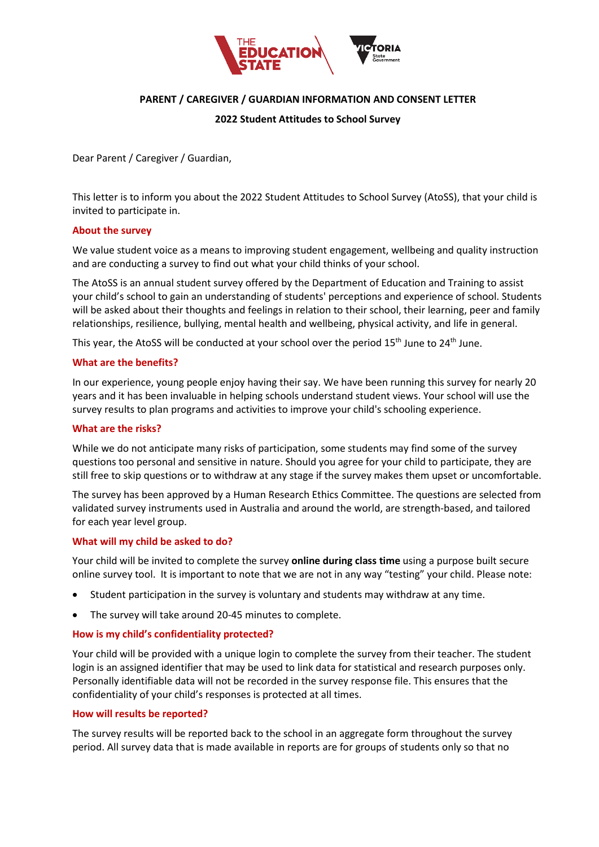

# **PARENT / CAREGIVER / GUARDIAN INFORMATION AND CONSENT LETTER**

### **2022 Student Attitudes to School Survey**

Dear Parent / Caregiver / Guardian,

This letter is to inform you about the 2022 Student Attitudes to School Survey (AtoSS), that your child is invited to participate in.

### **About the survey**

We value student voice as a means to improving student engagement, wellbeing and quality instruction and are conducting a survey to find out what your child thinks of your school.

The AtoSS is an annual student survey offered by the Department of Education and Training to assist your child's school to gain an understanding of students' perceptions and experience of school. Students will be asked about their thoughts and feelings in relation to their school, their learning, peer and family relationships, resilience, bullying, mental health and wellbeing, physical activity, and life in general.

This year, the AtoSS will be conducted at your school over the period 15<sup>th</sup> June to 24<sup>th</sup> June.

### **What are the benefits?**

In our experience, young people enjoy having their say. We have been running this survey for nearly 20 years and it has been invaluable in helping schools understand student views. Your school will use the survey results to plan programs and activities to improve your child's schooling experience.

### **What are the risks?**

While we do not anticipate many risks of participation, some students may find some of the survey questions too personal and sensitive in nature. Should you agree for your child to participate, they are still free to skip questions or to withdraw at any stage if the survey makes them upset or uncomfortable.

The survey has been approved by a Human Research Ethics Committee. The questions are selected from validated survey instruments used in Australia and around the world, are strength-based, and tailored for each year level group.

## **What will my child be asked to do?**

Your child will be invited to complete the survey **online during class time** using a purpose built secure online survey tool. It is important to note that we are not in any way "testing" your child. Please note:

- Student participation in the survey is voluntary and students may withdraw at any time.
- The survey will take around 20-45 minutes to complete.

## **How is my child's confidentiality protected?**

Your child will be provided with a unique login to complete the survey from their teacher. The student login is an assigned identifier that may be used to link data for statistical and research purposes only. Personally identifiable data will not be recorded in the survey response file. This ensures that the confidentiality of your child's responses is protected at all times.

#### **How will results be reported?**

The survey results will be reported back to the school in an aggregate form throughout the survey period. All survey data that is made available in reports are for groups of students only so that no